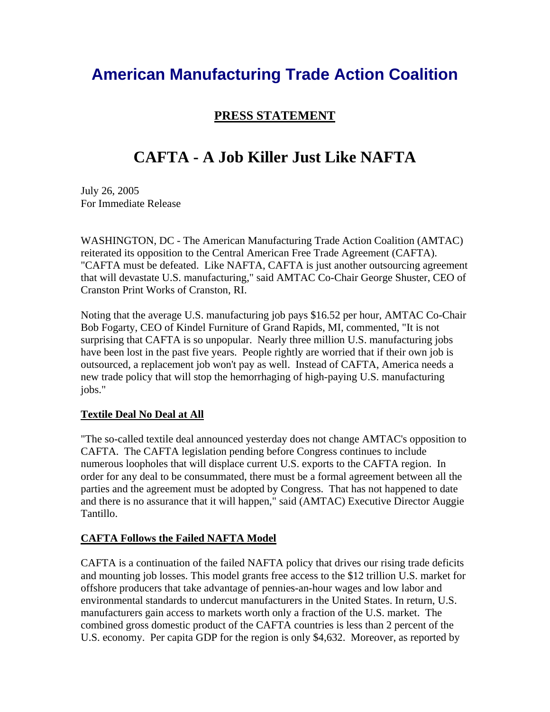# **American Manufacturing Trade Action Coalition**

### **PRESS STATEMENT**

## **CAFTA - A Job Killer Just Like NAFTA**

July 26, 2005 For Immediate Release

WASHINGTON, DC - The American Manufacturing Trade Action Coalition (AMTAC) reiterated its opposition to the Central American Free Trade Agreement (CAFTA). "CAFTA must be defeated. Like NAFTA, CAFTA is just another outsourcing agreement that will devastate U.S. manufacturing," said AMTAC Co-Chair George Shuster, CEO of Cranston Print Works of Cranston, RI.

Noting that the average U.S. manufacturing job pays \$16.52 per hour, AMTAC Co-Chair Bob Fogarty, CEO of Kindel Furniture of Grand Rapids, MI, commented, "It is not surprising that CAFTA is so unpopular. Nearly three million U.S. manufacturing jobs have been lost in the past five years. People rightly are worried that if their own job is outsourced, a replacement job won't pay as well. Instead of CAFTA, America needs a new trade policy that will stop the hemorrhaging of high-paying U.S. manufacturing jobs."

#### **Textile Deal No Deal at All**

"The so-called textile deal announced yesterday does not change AMTAC's opposition to CAFTA. The CAFTA legislation pending before Congress continues to include numerous loopholes that will displace current U.S. exports to the CAFTA region. In order for any deal to be consummated, there must be a formal agreement between all the parties and the agreement must be adopted by Congress. That has not happened to date and there is no assurance that it will happen," said (AMTAC) Executive Director Auggie Tantillo.

### **CAFTA Follows the Failed NAFTA Model**

CAFTA is a continuation of the failed NAFTA policy that drives our rising trade deficits and mounting job losses. This model grants free access to the \$12 trillion U.S. market for offshore producers that take advantage of pennies-an-hour wages and low labor and environmental standards to undercut manufacturers in the United States. In return, U.S. manufacturers gain access to markets worth only a fraction of the U.S. market. The combined gross domestic product of the CAFTA countries is less than 2 percent of the U.S. economy. Per capita GDP for the region is only \$4,632. Moreover, as reported by